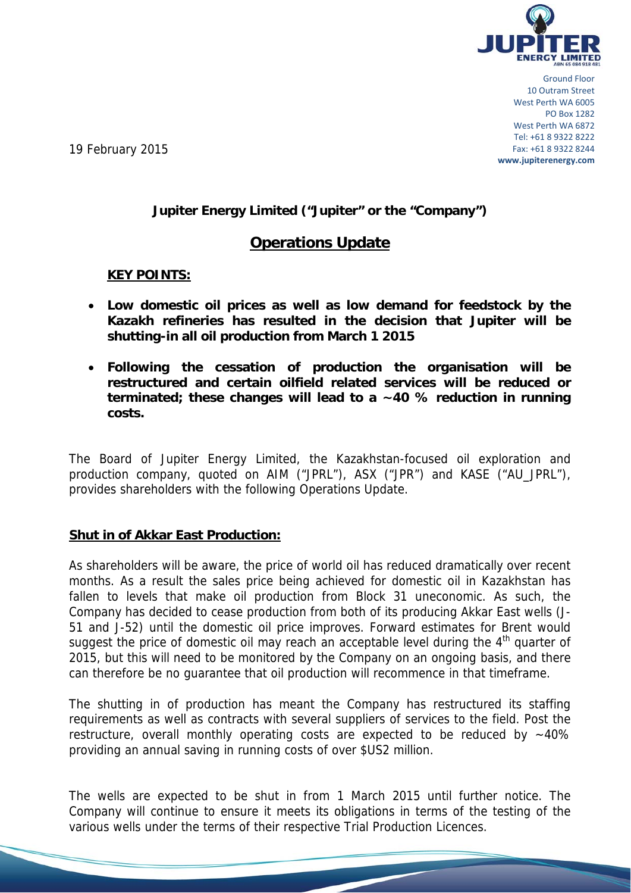

Ground Floor 10 Outram Street West Perth WA 6005 PO Box 1282 West Perth WA 6872 Tel: +61 8 9322 8222 Fax: +61 8 9322 8244 **www.jupiterenergy.com**

19 February 2015

## **Jupiter Energy Limited ("Jupiter" or the "Company")**

# **Operations Update**

**KEY POINTS:** 

- **Low domestic oil prices as well as low demand for feedstock by the Kazakh refineries has resulted in the decision that Jupiter will be shutting-in all oil production from March 1 2015**
- **Following the cessation of production the organisation will be restructured and certain oilfield related services will be reduced or terminated; these changes will lead to a ~40 % reduction in running costs.**

The Board of Jupiter Energy Limited, the Kazakhstan-focused oil exploration and production company, quoted on AIM ("JPRL"), ASX ("JPR") and KASE ("AU\_JPRL"), provides shareholders with the following Operations Update.

#### **Shut in of Akkar East Production:**

As shareholders will be aware, the price of world oil has reduced dramatically over recent months. As a result the sales price being achieved for domestic oil in Kazakhstan has fallen to levels that make oil production from Block 31 uneconomic. As such, the Company has decided to cease production from both of its producing Akkar East wells (J-51 and J-52) until the domestic oil price improves. Forward estimates for Brent would suggest the price of domestic oil may reach an acceptable level during the  $4<sup>th</sup>$  quarter of 2015, but this will need to be monitored by the Company on an ongoing basis, and there can therefore be no guarantee that oil production will recommence in that timeframe.

The shutting in of production has meant the Company has restructured its staffing requirements as well as contracts with several suppliers of services to the field. Post the restructure, overall monthly operating costs are expected to be reduced by  $~10\%$ providing an annual saving in running costs of over \$US2 million.

The wells are expected to be shut in from 1 March 2015 until further notice. The Company will continue to ensure it meets its obligations in terms of the testing of the various wells under the terms of their respective Trial Production Licences.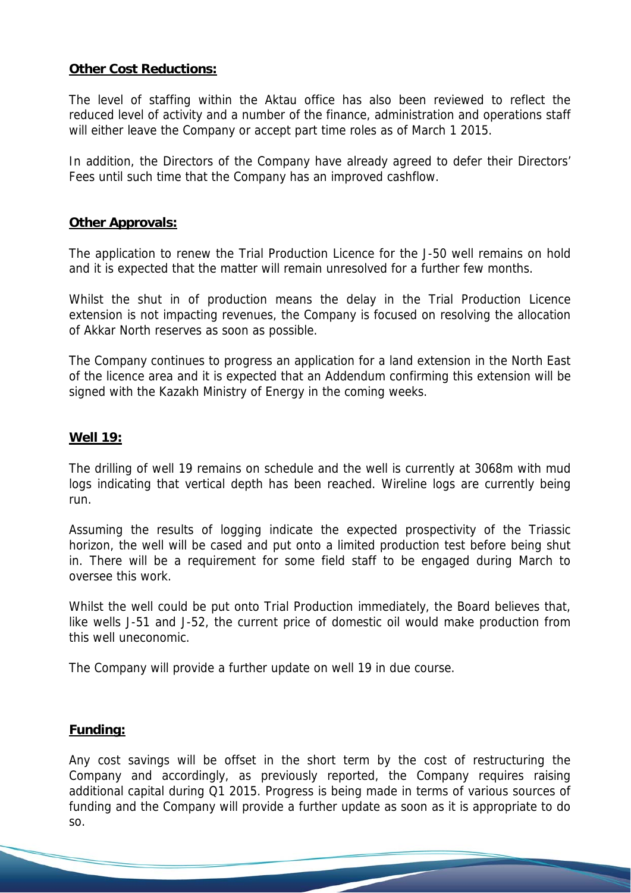## **Other Cost Reductions:**

The level of staffing within the Aktau office has also been reviewed to reflect the reduced level of activity and a number of the finance, administration and operations staff will either leave the Company or accept part time roles as of March 1 2015.

In addition, the Directors of the Company have already agreed to defer their Directors' Fees until such time that the Company has an improved cashflow.

#### **Other Approvals:**

The application to renew the Trial Production Licence for the J-50 well remains on hold and it is expected that the matter will remain unresolved for a further few months.

Whilst the shut in of production means the delay in the Trial Production Licence extension is not impacting revenues, the Company is focused on resolving the allocation of Akkar North reserves as soon as possible.

The Company continues to progress an application for a land extension in the North East of the licence area and it is expected that an Addendum confirming this extension will be signed with the Kazakh Ministry of Energy in the coming weeks.

#### **Well 19:**

The drilling of well 19 remains on schedule and the well is currently at 3068m with mud logs indicating that vertical depth has been reached. Wireline logs are currently being run.

Assuming the results of logging indicate the expected prospectivity of the Triassic horizon, the well will be cased and put onto a limited production test before being shut in. There will be a requirement for some field staff to be engaged during March to oversee this work.

Whilst the well could be put onto Trial Production immediately, the Board believes that, like wells J-51 and J-52, the current price of domestic oil would make production from this well uneconomic.

The Company will provide a further update on well 19 in due course.

#### **Funding:**

Any cost savings will be offset in the short term by the cost of restructuring the Company and accordingly, as previously reported, the Company requires raising additional capital during Q1 2015. Progress is being made in terms of various sources of funding and the Company will provide a further update as soon as it is appropriate to do so.